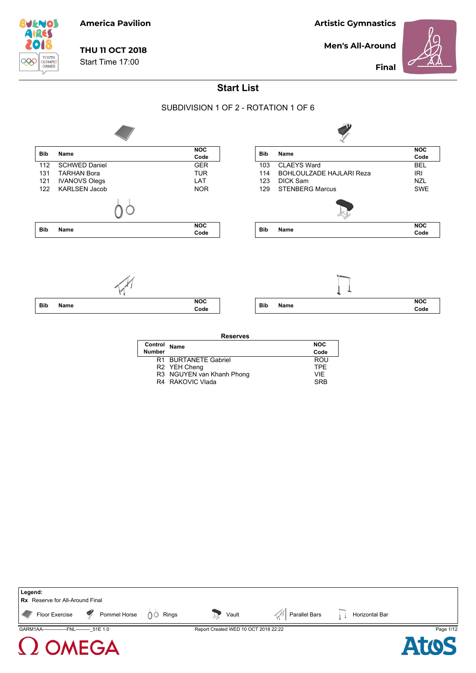**BUENOS** YOUTH<br>OLYMPIC<br>GAMES 999

### **America Pavilion**

**THU 11 OCT 2018**

Start Time 17:00

**Artistic Gymnastics**

**Men's All-Around**



**Final**

### **Start List**

#### SUBDIVISION 1 OF 2 - ROTATION 1 OF 6



| <b>Reserves</b> |                           |            |
|-----------------|---------------------------|------------|
| Control         | Name                      | <b>NOC</b> |
| <b>Number</b>   |                           | Code       |
|                 | R1 BURTANETE Gabriel      | <b>ROU</b> |
|                 | R2 YEH Cheng              | <b>TPF</b> |
|                 | R3 NGUYEN van Khanh Phong | VIF        |
|                 | R4 RAKOVIC Vlada          | <b>SRR</b> |
|                 |                           |            |

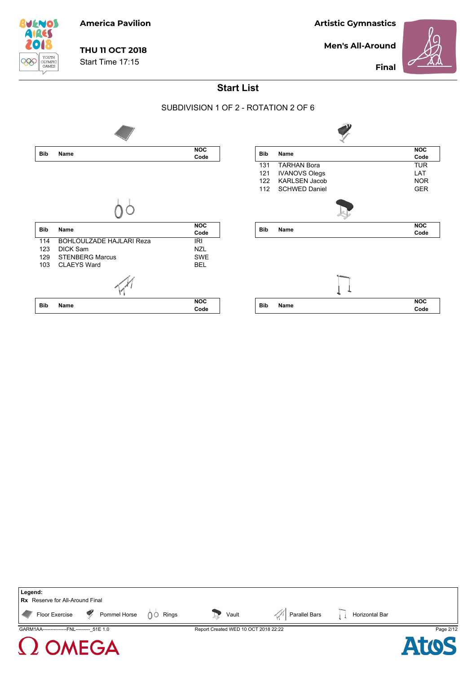**Men's All-Around**



**Final**



## **THU 11 OCT 2018**

**America Pavilion**

Start Time 17:15

**Start List**

#### SUBDIVISION 1 OF 2 - ROTATION 2 OF 6







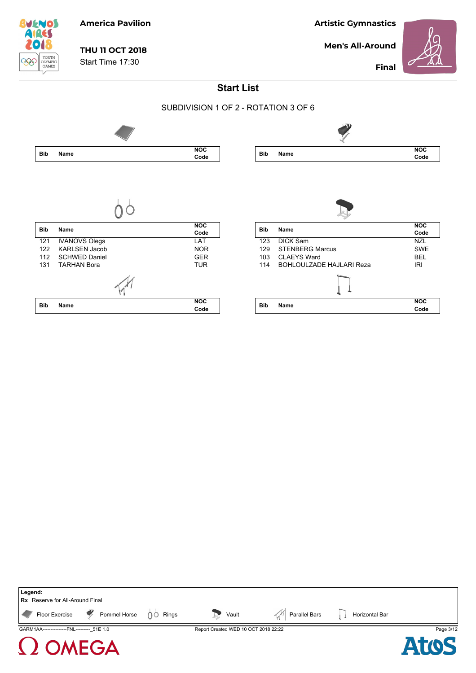**Men's All-Around**

**Artistic Gymnastics**

**Final**



# **THU 11 OCT 2018**

**America Pavilion**

Start Time 17:30



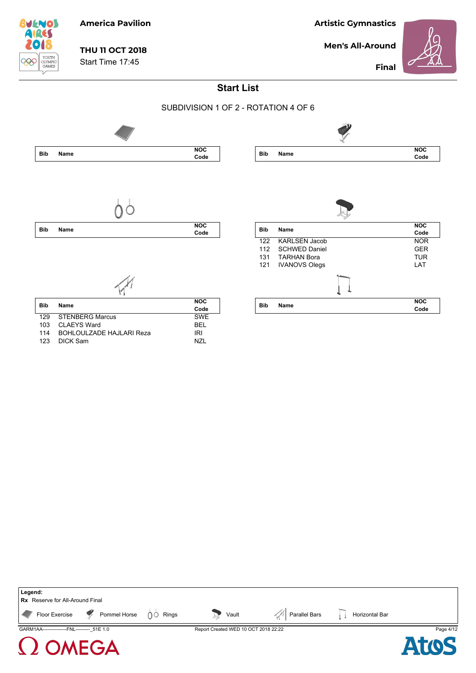**Men's All-Around**



**Final**



## **THU 11 OCT 2018**

**America Pavilion**

Start Time 17:45



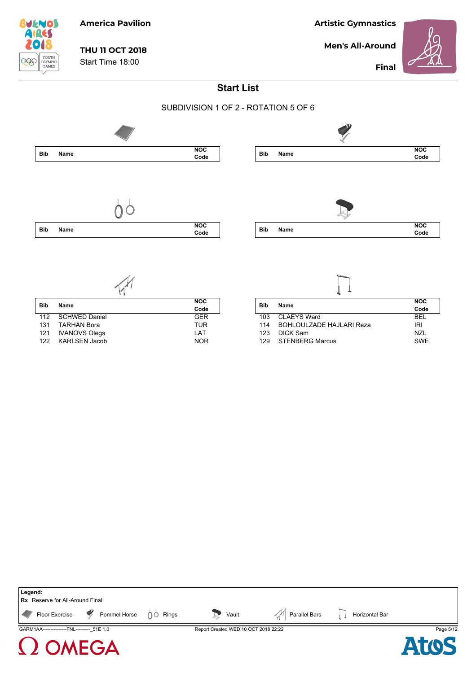**Men's All-Around**



**Final**



## **THU 11 OCT 2018**

**America Pavilion**

Start Time 18:00





| <b>Bib</b><br>Name |                      | <b>NOC</b> |
|--------------------|----------------------|------------|
|                    |                      | Code       |
| 112                | SCHWED Daniel        | <b>GFR</b> |
| 131                | <b>TARHAN Bora</b>   | <b>TUR</b> |
|                    | 121 IVANOVS Olegs    | I AT       |
| 122                | <b>KARLSEN Jacob</b> | <b>NOR</b> |

| <b>Bib</b><br>Name | <b>NOC</b>                |            |
|--------------------|---------------------------|------------|
|                    |                           | Code       |
| 103                | CLAEYS Ward               | <b>BEL</b> |
| 114                | BOHLOULZADE HAJI ARI Reza | IRI        |
| 123                | DICK Sam                  | N71        |
| 129                | <b>STENBERG Marcus</b>    | <b>SWF</b> |

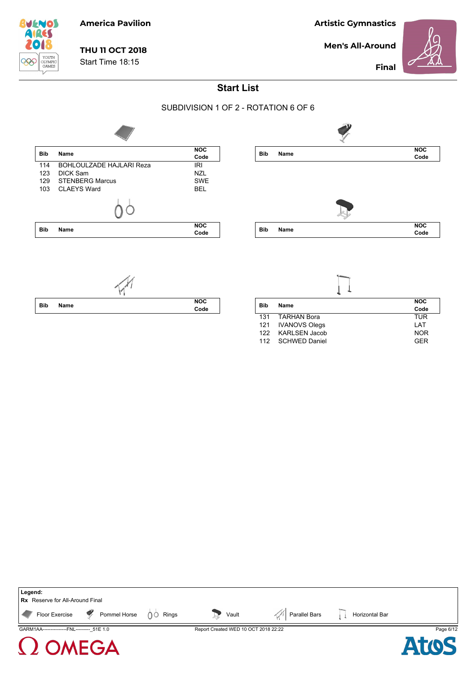**Men's All-Around**



**Final**



# **THU 11 OCT 2018**

**America Pavilion**

Start Time 18:15

**Start List**

### SUBDIVISION 1 OF 2 - ROTATION 6 OF 6



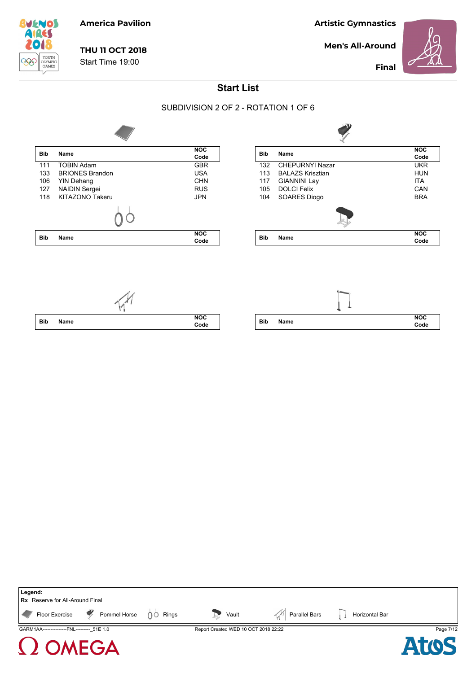**Men's All-Around**



**Final**



## **THU 11 OCT 2018**

**America Pavilion**

Start Time 19:00

**Start List**

#### SUBDIVISION 2 OF 2 - ROTATION 1 OF 6



| <b>Bib</b> | Name                     | <b>NOC</b> |
|------------|--------------------------|------------|
|            |                          | Code       |
| 132        | <b>CHEPURNYI Nazar</b>   | <b>UKR</b> |
| 113        | <b>BAI AZS Krisztian</b> | <b>HUN</b> |
| 117        | <b>GIANNINI Lay</b>      | <b>ITA</b> |
| 105        | <b>DOLCI Felix</b>       | CAN        |
| 104        | SOARES Diogo             | <b>BRA</b> |
|            |                          |            |
| <b>Bib</b> | Name                     | <b>NOC</b> |
|            |                          | Code       |

 $\mathcal{P}$ 



**MEGA** 





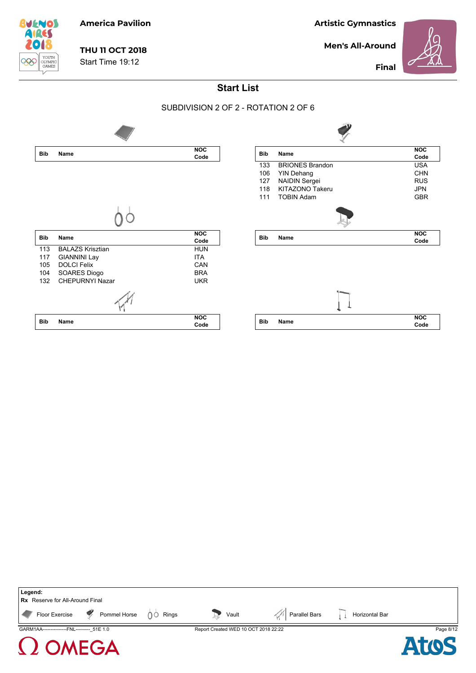**Men's All-Around**



 $\blacksquare$ 

**Final**



# **THU 11 OCT 2018**

**America Pavilion**

Start Time 19:12

**Start List**

#### SUBDIVISION 2 OF 2 - ROTATION 2 OF 6



| <b>Bib</b> | Name                                     | <b>NOC</b><br>Code |
|------------|------------------------------------------|--------------------|
| 133        | <b>BRIONES Brandon</b>                   | <b>USA</b>         |
| 106        |                                          | <b>CHN</b>         |
|            | <b>YIN Dehang</b>                        | <b>RUS</b>         |
|            | 127 NAIDIN Sergei<br>118 KITAZONO Takeru | <b>JPN</b>         |
| 111        | <b>TOBIN Adam</b>                        | <b>GBR</b>         |
|            |                                          |                    |
|            |                                          |                    |
| <b>Bib</b> | Name                                     | <b>NOC</b>         |
|            |                                          | Code               |
|            |                                          |                    |
|            |                                          |                    |
| <b>Bib</b> | Name                                     | <b>NOC</b><br>Code |

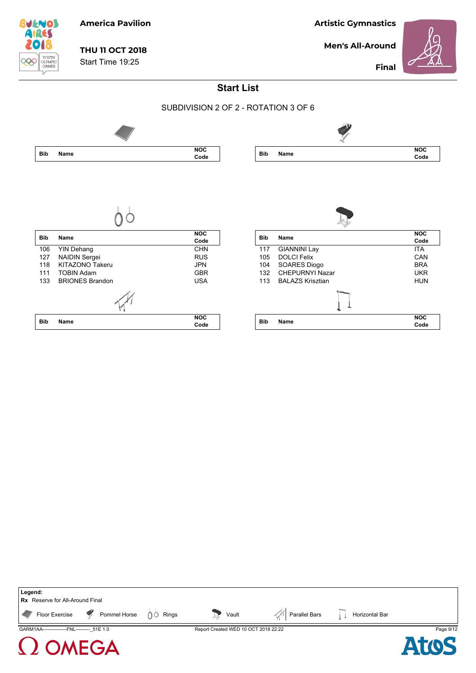**Men's All-Around**



**Final**



# **THU 11 OCT 2018**

**America Pavilion**

Start Time 19:25



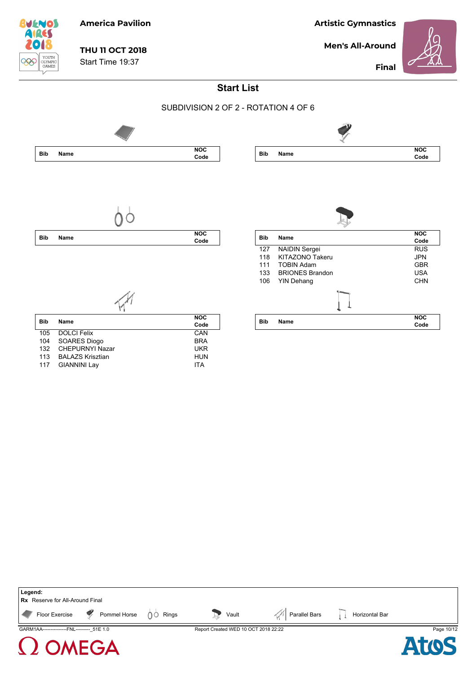**Men's All-Around**



**BUENOS AIRES** YOUTH<br>OLYMPIC<br>GAMES 999

# **THU 11 OCT 2018**

**America Pavilion**

Start Time 19:37

**Final**





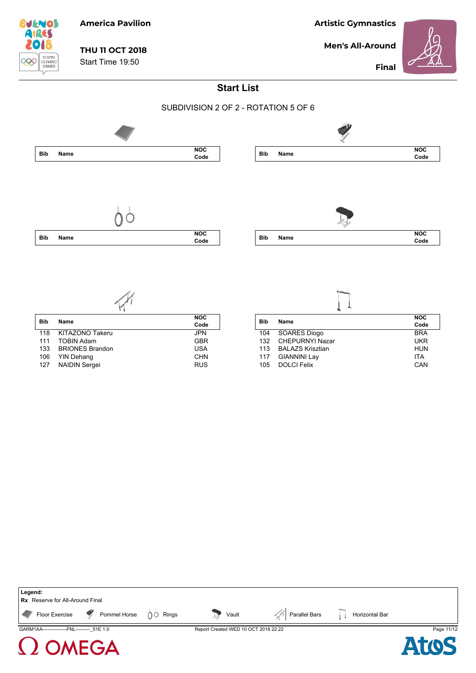**Men's All-Around**



**Final**

## **America Pavilion**

 $\begin{tabular}{c} \multicolumn{2}{c}{\textbf{YourH}}\\ \multicolumn{2}{c}{\textbf{YourH}}\\ \multicolumn{2}{c}{\textbf{CLYMPIC}}\\ \multicolumn{2}{c}{\textbf{GAMES}} \end{tabular}$ 

**BUENOS AIRES**  $\bullet$ 

906

# **THU 11 OCT 2018**

Start Time 19:50

**Start List**



| <b>Bib</b> | Name                   | <b>NOC</b><br>Code |
|------------|------------------------|--------------------|
| 118        | <b>KITAZONO Takeru</b> | <b>JPN</b>         |
| 111        | <b>TOBIN Adam</b>      | <b>GBR</b>         |
| 133        | <b>BRIONES Brandon</b> | <b>USA</b>         |
| 106        | <b>YIN Dehang</b>      | <b>CHN</b>         |
| 127        | <b>NAIDIN Sergei</b>   | <b>RUS</b>         |
|            |                        |                    |

 $\sqrt{M}$ 

| Bib | <b>Name</b>             | <b>NOC</b> |
|-----|-------------------------|------------|
|     |                         | Code       |
| 104 | <b>SOARES Diogo</b>     | <b>BRA</b> |
| 132 | <b>CHEPURNYI Nazar</b>  | UKR        |
| 113 | <b>BALAZS Krisztian</b> | HUN        |
| 117 | <b>GIANNINI Lay</b>     | <b>ITA</b> |
| 105 | <b>DOLCI Felix</b>      | CAN        |